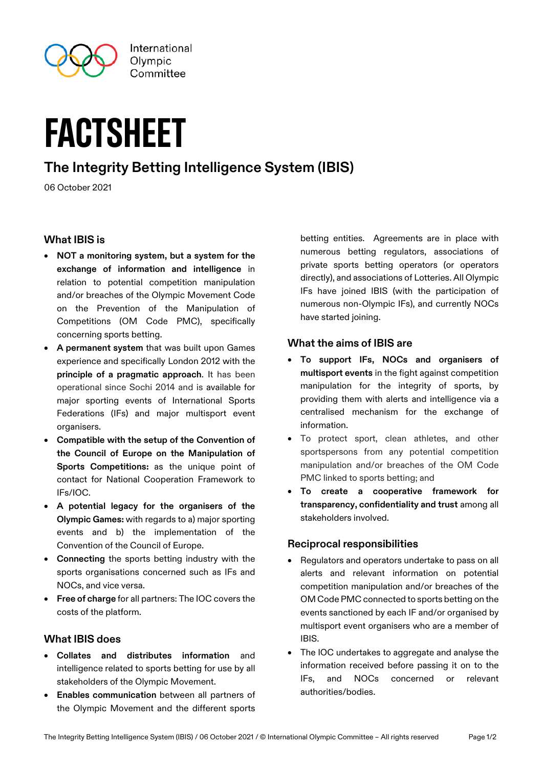

# factsheet

## **The Integrity Betting Intelligence System (IBIS)**

06 October 2021

### **What IBIS is**

- **NOT a monitoring system, but a system for the exchange of information and intelligence** in relation to potential competition manipulation and/or breaches of the Olympic Movement Code on the Prevention of the Manipulation of Competitions (OM Code PMC), specifically concerning sports betting.
- **A permanent system** that was built upon Games experience and specifically London 2012 with the **principle of a pragmatic approach**. It has been operational since Sochi 2014 and is available for major sporting events of International Sports Federations (IFs) and major multisport event organisers.
- **Compatible with the setup of the Convention of the Council of Europe on the Manipulation of Sports Competitions:** as the unique point of contact for National Cooperation Framework to IFs/IOC.
- **A potential legacy for the organisers of the Olympic Games:** with regards to a) major sporting events and b) the implementation of the Convention of the Council of Europe.
- **Connecting** the sports betting industry with the sports organisations concerned such as IFs and NOCs, and vice versa.
- **Free of charge** for all partners: The IOC covers the costs of the platform.

### **What IBIS does**

- **Collates and distributes information** and intelligence related to sports betting for use by all stakeholders of the Olympic Movement.
- **Enables communication** between all partners of the Olympic Movement and the different sports

betting entities. Agreements are in place with numerous betting regulators, associations of private sports betting operators (or operators directly), and associations of Lotteries. All Olympic IFs have joined IBIS (with the participation of numerous non-Olympic IFs), and currently NOCs have started joining.

#### **What the aims of IBIS are**

- **To support IFs, NOCs and organisers of multisport events** in the fight against competition manipulation for the integrity of sports, by providing them with alerts and intelligence via a centralised mechanism for the exchange of information.
- To protect sport, clean athletes, and other sportspersons from any potential competition manipulation and/or breaches of the OM Code PMC linked to sports betting; and
- **To create a cooperative framework for transparency, confidentiality and trust** among all stakeholders involved.

### **Reciprocal responsibilities**

- Regulators and operators undertake to pass on all alerts and relevant information on potential competition manipulation and/or breaches of the OM Code PMC connected to sports betting on the events sanctioned by each IF and/or organised by multisport event organisers who are a member of IBIS.
- The IOC undertakes to aggregate and analyse the information received before passing it on to the IFs, and NOCs concerned or relevant authorities/bodies.